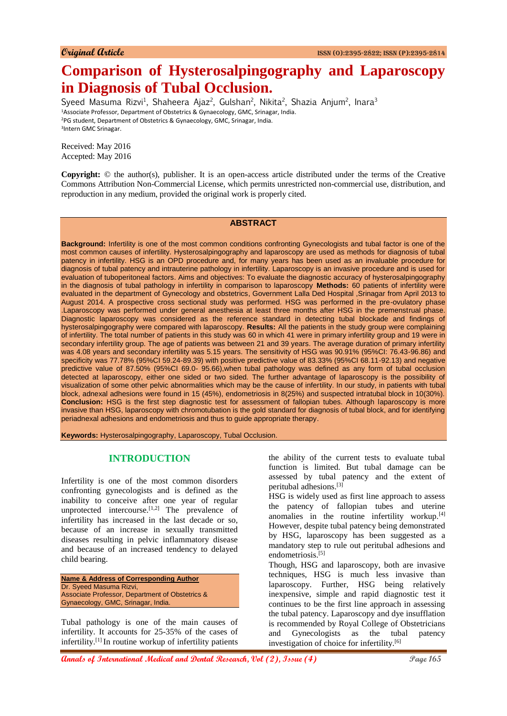# **Comparison of Hysterosalpingography and Laparoscopy in Diagnosis of Tubal Occlusion.**

Syeed Masuma Rizvi<sup>1</sup>, Shaheera Ajaz<sup>2</sup>, Gulshan<sup>2</sup>, Nikita<sup>2</sup>, Shazia Anjum<sup>2</sup>, Inara<sup>3</sup> Associate Professor, Department of Obstetrics & Gynaecology, GMC, Srinagar, India. PG student, Department of Obstetrics & Gynaecology, GMC, Srinagar, India. Intern GMC Srinagar.

Received: May 2016 Accepted: May 2016

**Copyright:** © the author(s), publisher. It is an open-access article distributed under the terms of the Creative Commons Attribution Non-Commercial License, which permits unrestricted non-commercial use, distribution, and reproduction in any medium, provided the original work is properly cited.

#### **ABSTRACT**

**Background:** Infertility is one of the most common conditions confronting Gynecologists and tubal factor is one of the most common causes of infertility. Hysterosalpingography and laparoscopy are used as methods for diagnosis of tubal patency in infertility. HSG is an OPD procedure and, for many years has been used as an invaluable procedure for diagnosis of tubal patency and intrauterine pathology in infertility. Laparoscopy is an invasive procedure and is used for evaluation of tuboperitoneal factors. Aims and objectives: To evaluate the diagnostic accuracy of hysterosalpingography in the diagnosis of tubal pathology in infertility in comparison to laparoscopy **Methods:** 60 patients of infertility were evaluated in the department of Gynecology and obstetrics, Government Lalla Ded Hospital ,Srinagar from April 2013 to August 2014. A prospective cross sectional study was performed. HSG was performed in the pre-ovulatory phase .Laparoscopy was performed under general anesthesia at least three months after HSG in the premenstrual phase. Diagnostic laparoscopy was considered as the reference standard in detecting tubal blockade and findings of hysterosalpingography were compared with laparoscopy. **Results:** All the patients in the study group were complaining of infertility. The total number of patients in this study was 60 in which 41 were in primary infertility group and 19 were in secondary infertility group. The age of patients was between 21 and 39 years. The average duration of primary infertility was 4.08 years and secondary infertility was 5.15 years. The sensitivity of HSG was 90.91% (95%CI: 76.43-96.86) and specificity was 77.78% (95%CI 59.24-89.39) with positive predictive value of 83.33% (95%CI 68.11-92.13) and negative predictive value of 87.50% (95%CI 69.0- 95.66),when tubal pathology was defined as any form of tubal occlusion detected at laparoscopy, either one sided or two sided. The further advantage of laparoscopy is the possibility of visualization of some other pelvic abnormalities which may be the cause of infertility. In our study, in patients with tubal block, adnexal adhesions were found in 15 (45%), endometriosis in 8(25%) and suspected intratubal block in 10(30%). **Conclusion:** HSG is the first step diagnostic test for assessment of fallopian tubes. Although laparoscopy is more invasive than HSG, laparoscopy with chromotubation is the gold standard for diagnosis of tubal block, and for identifying periadnexal adhesions and endometriosis and thus to guide appropriate therapy.

**Keywords:** Hysterosalpingography, Laparoscopy, Tubal Occlusion.

#### **INTRODUCTION**

Infertility is one of the most common disorders confronting gynecologists and is defined as the inability to conceive after one year of regular unprotected intercourse.<sup>[1,2]</sup> The prevalence of infertility has increased in the last decade or so, because of an increase in sexually transmitted diseases resulting in pelvic inflammatory disease and because of an increased tendency to delayed child bearing.

**Name & Address of Corresponding Author** Dr. Syeed Masuma Rizvi, Associate Professor, Department of Obstetrics & Gynaecology, GMC, Srinagar, India.

Tubal pathology is one of the main causes of infertility. It accounts for 25-35% of the cases of infertility.[1] In routine workup of infertility patients

the ability of the current tests to evaluate tubal function is limited. But tubal damage can be assessed by tubal patency and the extent of peritubal adhesions.[3]

HSG is widely used as first line approach to assess the patency of fallopian tubes and uterine anomalies in the routine infertility workup.[4] However, despite tubal patency being demonstrated by HSG, laparoscopy has been suggested as a mandatory step to rule out peritubal adhesions and endometriosis.<sup>[5]</sup>

Though, HSG and laparoscopy, both are invasive techniques, HSG is much less invasive than laparoscopy. Further, HSG being relatively inexpensive, simple and rapid diagnostic test it continues to be the first line approach in assessing the tubal patency. Laparoscopy and dye insufflation is recommended by Royal College of Obstetricians and Gynecologists as the tubal patency investigation of choice for infertility.[6]

**Annals of International Medical and Dental Research, Vol (2), Issue (4) Page 165**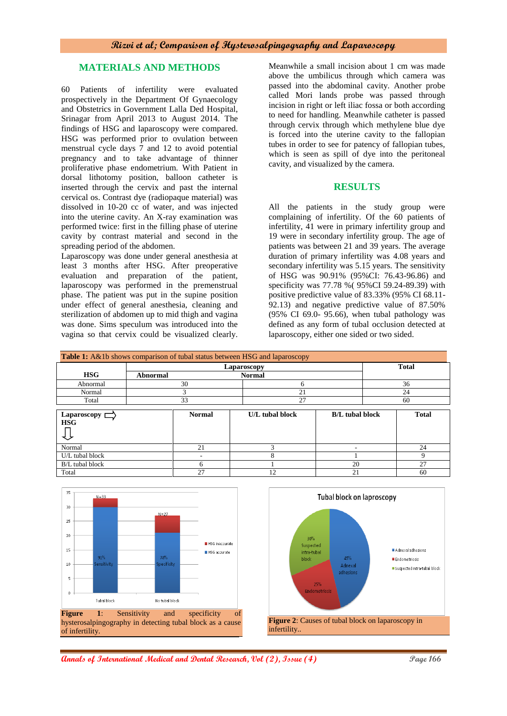## **Rizvi et al; Comparison of Hysterosalpingography and Laparoscopy**

## **MATERIALS AND METHODS**

60 Patients of infertility were evaluated prospectively in the Department Of Gynaecology and Obstetrics in Government Lalla Ded Hospital, Srinagar from April 2013 to August 2014. The findings of HSG and laparoscopy were compared. HSG was performed prior to ovulation between menstrual cycle days 7 and 12 to avoid potential pregnancy and to take advantage of thinner proliferative phase endometrium. With Patient in dorsal lithotomy position, balloon catheter is inserted through the cervix and past the internal cervical os. Contrast dye (radiopaque material) was dissolved in 10-20 cc of water, and was injected into the uterine cavity. An X-ray examination was performed twice: first in the filling phase of uterine cavity by contrast material and second in the spreading period of the abdomen.

Laparoscopy was done under general anesthesia at least 3 months after HSG. After preoperative evaluation and preparation of the patient, laparoscopy was performed in the premenstrual phase. The patient was put in the supine position under effect of general anesthesia, cleaning and sterilization of abdomen up to mid thigh and vagina was done. Sims speculum was introduced into the vagina so that cervix could be visualized clearly.

Meanwhile a small incision about 1 cm was made above the umbilicus through which camera was passed into the abdominal cavity. Another probe called Mori lands probe was passed through incision in right or left iliac fossa or both according to need for handling. Meanwhile catheter is passed through cervix through which methylene blue dye is forced into the uterine cavity to the fallopian tubes in order to see for patency of fallopian tubes, which is seen as spill of dye into the peritoneal cavity, and visualized by the camera.

# **RESULTS**

All the patients in the study group were complaining of infertility. Of the 60 patients of infertility, 41 were in primary infertility group and 19 were in secondary infertility group. The age of patients was between 21 and 39 years. The average duration of primary infertility was 4.08 years and secondary infertility was 5.15 years. The sensitivity of HSG was 90.91% (95%CI: 76.43-96.86) and specificity was 77.78 %( 95%CI 59.24-89.39) with positive predictive value of 83.33% (95% CI 68.11- 92.13) and negative predictive value of 87.50% (95% CI 69.0- 95.66), when tubal pathology was defined as any form of tubal occlusion detected at laparoscopy, either one sided or two sided.

| <b>Table 1:</b> A&1b shows comparison of tubal status between HSG and laparoscopy |             |                   |                        |              |  |  |  |  |
|-----------------------------------------------------------------------------------|-------------|-------------------|------------------------|--------------|--|--|--|--|
|                                                                                   | Laparoscopy |                   |                        | <b>Total</b> |  |  |  |  |
| <b>HSG</b>                                                                        | Abnormal    | <b>Normal</b>     |                        |              |  |  |  |  |
| Abnormal                                                                          | 30          |                   |                        | 36           |  |  |  |  |
| Normal                                                                            |             |                   |                        | 24           |  |  |  |  |
| Total                                                                             | 33          |                   |                        | -60          |  |  |  |  |
| anaroscony                                                                        | Normal      | $I/J$ tubal block | <b>R/L</b> tubal block | Total        |  |  |  |  |

| Laparoscopy [<br><b>HSG</b> | <b>Normal</b> | U/L tubal block | <b>B/L</b> tubal block | <b>Total</b>  |
|-----------------------------|---------------|-----------------|------------------------|---------------|
| Normal                      |               |                 |                        |               |
| U/L tubal block             |               |                 |                        |               |
| B/L tubal block             |               |                 | 20                     | $\sim$<br>ر گ |
| Total                       | $\sim$        |                 |                        | 60            |



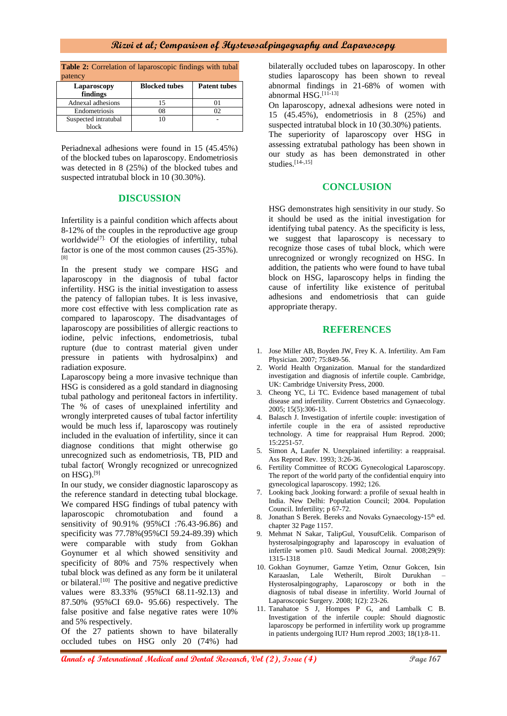## **Rizvi et al; Comparison of Hysterosalpingography and Laparoscopy**

**Table 2:** Correlation of laparoscopic findings with tubal patency

| Laparoscopy<br>findings | <b>Blocked tubes</b> | <b>Patent tubes</b> |
|-------------------------|----------------------|---------------------|
| Adnexal adhesions       |                      |                     |
| Endometriosis           | )8                   |                     |
| Suspected intratubal    |                      |                     |
| block                   |                      |                     |

Periadnexal adhesions were found in 15 (45.45%) of the blocked tubes on laparoscopy. Endometriosis was detected in 8 (25%) of the blocked tubes and suspected intratubal block in 10 (30.30%).

#### **DISCUSSION**

Infertility is a painful condition which affects about 8-12% of the couples in the reproductive age group worldwide<sup>[7].</sup> Of the etiologies of infertility, tubal factor is one of the most common causes (25-35%). [8]

In the present study we compare HSG and laparoscopy in the diagnosis of tubal factor infertility. HSG is the initial investigation to assess the patency of fallopian tubes. It is less invasive, more cost effective with less complication rate as compared to laparoscopy. The disadvantages of laparoscopy are possibilities of allergic reactions to iodine, pelvic infections, endometriosis, tubal rupture (due to contrast material given under pressure in patients with hydrosalpinx) and radiation exposure.

Laparoscopy being a more invasive technique than HSG is considered as a gold standard in diagnosing tubal pathology and peritoneal factors in infertility. The % of cases of unexplained infertility and wrongly interpreted causes of tubal factor infertility would be much less if, laparoscopy was routinely included in the evaluation of infertility, since it can diagnose conditions that might otherwise go unrecognized such as endometriosis, TB, PID and tubal factor( Wrongly recognized or unrecognized on  $HSG$ ).<sup>[9]</sup>

In our study, we consider diagnostic laparoscopy as the reference standard in detecting tubal blockage. We compared HSG findings of tubal patency with laparoscopic chromotubation and found a sensitivity of 90.91% (95%CI :76.43-96.86) and specificity was 77.78%(95%CI 59.24-89.39) which were comparable with study from Gokhan Goynumer et al which showed sensitivity and specificity of 80% and 75% respectively when tubal block was defined as any form be it unilateral or bilateral.<sup>[10]</sup> The positive and negative predictive values were 83.33% (95%CI 68.11-92.13) and 87.50% (95%CI 69.0- 95.66) respectively. The false positive and false negative rates were 10% and 5% respectively.

Of the 27 patients shown to have bilaterally occluded tubes on HSG only 20 (74%) had

bilaterally occluded tubes on laparoscopy. In other studies laparoscopy has been shown to reveal abnormal findings in 21-68% of women with abnormal HSG.[11-13]

On laparoscopy, adnexal adhesions were noted in 15 (45.45%), endometriosis in 8 (25%) and suspected intratubal block in 10 (30.30%) patients.

The superiority of laparoscopy over HSG in assessing extratubal pathology has been shown in our study as has been demonstrated in other studies. $[14, 15]$ 

## **CONCLUSION**

HSG demonstrates high sensitivity in our study. So it should be used as the initial investigation for identifying tubal patency. As the specificity is less, we suggest that laparoscopy is necessary to recognize those cases of tubal block, which were unrecognized or wrongly recognized on HSG. In addition, the patients who were found to have tubal block on HSG, laparoscopy helps in finding the cause of infertility like existence of peritubal adhesions and endometriosis that can guide appropriate therapy.

#### **REFERENCES**

- 1. Jose Miller AB, Boyden JW, Frey K. A. Infertility. Am Fam Physician. 2007; 75:849-56.
- World Health Organization. Manual for the standardized investigation and diagnosis of infertile couple. Cambridge, UK: Cambridge University Press, 2000.
- 3. Cheong YC, Li TC. Evidence based management of tubal disease and infertility. Current Obstetrics and Gynaecology. 2005; 15(5):306-13.
- 4. Balasch J. Investigation of infertile couple: investigation of infertile couple in the era of assisted reproductive technology. A time for reappraisal Hum Reprod. 2000; 15:2251-57.
- 5. Simon A, Laufer N. Unexplained infertility: a reappraisal. Ass Reprod Rev. 1993; 3:26-36.
- 6. Fertility Committee of RCOG Gynecological Laparoscopy. The report of the world party of the confidential enquiry into gynecological laparoscopy. 1992; 126.
- 7. Looking back ,looking forward: a profile of sexual health in India. New Delhi: Population Council; 2004. Population Council. Infertility; p 67-72.
- 8. Jonathan S Berek. Bereks and Novaks Gynaecology-15<sup>th</sup> ed. chapter 32 Page 1157.
- 9. Mehmat N Sakar, TalipGul, YousufCelik. Comparison of hysterosalpingography and laparoscopy in evaluation of infertile women p10. Saudi Medical Journal. 2008;29(9): 1315-1318
- 10. Gokhan Goynumer, Gamze Yetim, Oznur Gokcen, Isin Karaaslan, Lale Wetherilt, Birolt Durukhan – Hysterosalpingography, Laparoscopy or both in the diagnosis of tubal disease in infertility. World Journal of Laparoscopic Surgery. 2008; 1(2): 23-26.
- 11. Tanahatoe S J, Hompes P G, and Lambalk C B. Investigation of the infertile couple: Should diagnostic laparoscopy be performed in infertility work up programme in patients undergoing IUI? Hum reprod .2003; 18(1):8-11.